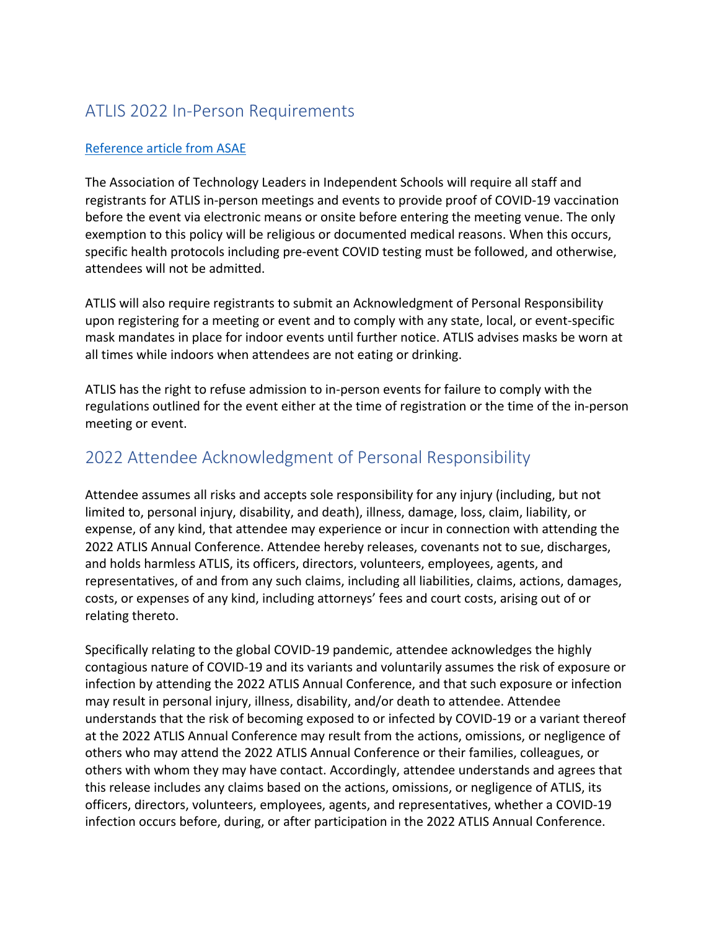## ATLIS 2022 In-Person Requirements

## Reference article from ASAE

The Association of Technology Leaders in Independent Schools will require all staff and registrants for ATLIS in-person meetings and events to provide proof of COVID-19 vaccination before the event via electronic means or onsite before entering the meeting venue. The only exemption to this policy will be religious or documented medical reasons. When this occurs, specific health protocols including pre-event COVID testing must be followed, and otherwise, attendees will not be admitted.

ATLIS will also require registrants to submit an Acknowledgment of Personal Responsibility upon registering for a meeting or event and to comply with any state, local, or event-specific mask mandates in place for indoor events until further notice. ATLIS advises masks be worn at all times while indoors when attendees are not eating or drinking.

ATLIS has the right to refuse admission to in-person events for failure to comply with the regulations outlined for the event either at the time of registration or the time of the in-person meeting or event.

## 2022 Attendee Acknowledgment of Personal Responsibility

Attendee assumes all risks and accepts sole responsibility for any injury (including, but not limited to, personal injury, disability, and death), illness, damage, loss, claim, liability, or expense, of any kind, that attendee may experience or incur in connection with attending the 2022 ATLIS Annual Conference. Attendee hereby releases, covenants not to sue, discharges, and holds harmless ATLIS, its officers, directors, volunteers, employees, agents, and representatives, of and from any such claims, including all liabilities, claims, actions, damages, costs, or expenses of any kind, including attorneys' fees and court costs, arising out of or relating thereto.

Specifically relating to the global COVID-19 pandemic, attendee acknowledges the highly contagious nature of COVID-19 and its variants and voluntarily assumes the risk of exposure or infection by attending the 2022 ATLIS Annual Conference, and that such exposure or infection may result in personal injury, illness, disability, and/or death to attendee. Attendee understands that the risk of becoming exposed to or infected by COVID-19 or a variant thereof at the 2022 ATLIS Annual Conference may result from the actions, omissions, or negligence of others who may attend the 2022 ATLIS Annual Conference or their families, colleagues, or others with whom they may have contact. Accordingly, attendee understands and agrees that this release includes any claims based on the actions, omissions, or negligence of ATLIS, its officers, directors, volunteers, employees, agents, and representatives, whether a COVID-19 infection occurs before, during, or after participation in the 2022 ATLIS Annual Conference.